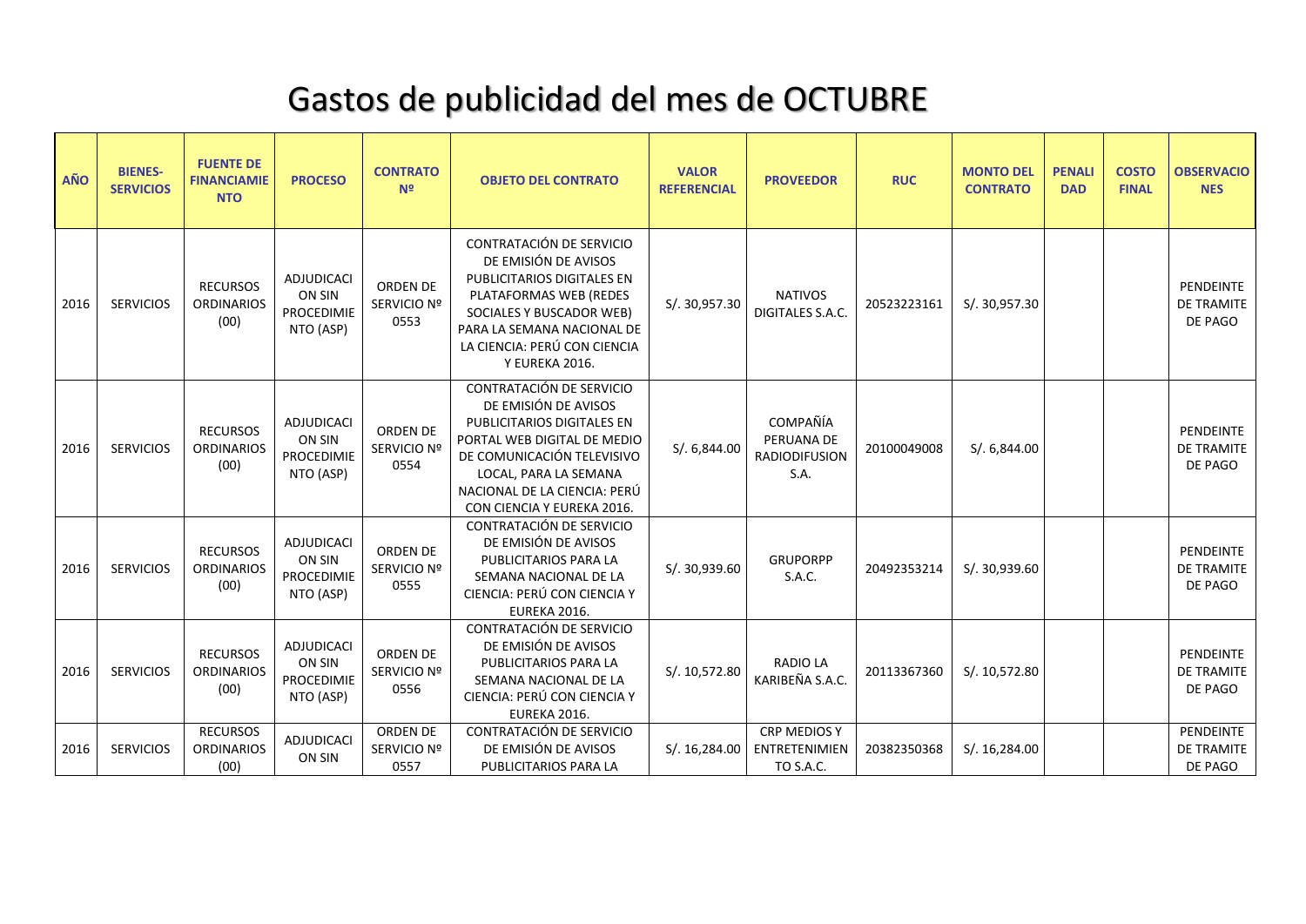## Gastos de publicidad del mes de OCTUBRE

| AÑO  | <b>BIENES-</b><br><b>SERVICIOS</b> | <b>FUENTE DE</b><br><b>FINANCIAMIE</b><br><b>NTO</b> | <b>PROCESO</b>                                                | <b>CONTRATO</b><br>N <sub>2</sub>      | <b>OBJETO DEL CONTRATO</b>                                                                                                                                                                                                         | <b>VALOR</b><br><b>REFERENCIAL</b> | <b>PROVEEDOR</b>                                         | <b>RUC</b>  | <b>MONTO DEL</b><br><b>CONTRATO</b> | <b>PENALI</b><br><b>DAD</b> | <b>COSTO</b><br><b>FINAL</b> | <b>OBSERVACIO</b><br><b>NES</b>                  |
|------|------------------------------------|------------------------------------------------------|---------------------------------------------------------------|----------------------------------------|------------------------------------------------------------------------------------------------------------------------------------------------------------------------------------------------------------------------------------|------------------------------------|----------------------------------------------------------|-------------|-------------------------------------|-----------------------------|------------------------------|--------------------------------------------------|
| 2016 | <b>SERVICIOS</b>                   | <b>RECURSOS</b><br><b>ORDINARIOS</b><br>(00)         | <b>ADJUDICACI</b><br>ON SIN<br><b>PROCEDIMIE</b><br>NTO (ASP) | ORDEN DE<br>SERVICIO Nº<br>0553        | CONTRATACIÓN DE SERVICIO<br>DE EMISIÓN DE AVISOS<br>PUBLICITARIOS DIGITALES EN<br>PLATAFORMAS WEB (REDES<br>SOCIALES Y BUSCADOR WEB)<br>PARA LA SEMANA NACIONAL DE<br>LA CIENCIA: PERÚ CON CIENCIA<br>Y EUREKA 2016.               | S/. 30,957.30                      | <b>NATIVOS</b><br><b>DIGITALES S.A.C.</b>                | 20523223161 | S/. 30,957.30                       |                             |                              | PENDEINTE<br>DE TRAMITE<br>DE PAGO               |
| 2016 | <b>SERVICIOS</b>                   | <b>RECURSOS</b><br><b>ORDINARIOS</b><br>(00)         | <b>ADJUDICACI</b><br>ON SIN<br>PROCEDIMIE<br>NTO (ASP)        | ORDEN DE<br>SERVICIO Nº<br>0554        | CONTRATACIÓN DE SERVICIO<br>DE EMISIÓN DE AVISOS<br>PUBLICITARIOS DIGITALES EN<br>PORTAL WEB DIGITAL DE MEDIO<br>DE COMUNICACIÓN TELEVISIVO<br>LOCAL, PARA LA SEMANA<br>NACIONAL DE LA CIENCIA: PERÚ<br>CON CIENCIA Y EUREKA 2016. | S/.6,844.00                        | COMPAÑÍA<br>PERUANA DE<br><b>RADIODIFUSION</b><br>S.A.   | 20100049008 | S/0.6,844.00                        |                             |                              | <b>PENDEINTE</b><br><b>DE TRAMITE</b><br>DE PAGO |
| 2016 | <b>SERVICIOS</b>                   | <b>RECURSOS</b><br><b>ORDINARIOS</b><br>(00)         | <b>ADJUDICACI</b><br>ON SIN<br>PROCEDIMIE<br>NTO (ASP)        | <b>ORDEN DE</b><br>SERVICIO Nº<br>0555 | CONTRATACIÓN DE SERVICIO<br>DE EMISIÓN DE AVISOS<br>PUBLICITARIOS PARA LA<br>SEMANA NACIONAL DE LA<br>CIENCIA: PERÚ CON CIENCIA Y<br>EUREKA 2016.                                                                                  | S/. 30,939.60                      | <b>GRUPORPP</b><br>S.A.C.                                | 20492353214 | S/. 30,939.60                       |                             |                              | PENDEINTE<br>DE TRAMITE<br>DE PAGO               |
| 2016 | <b>SERVICIOS</b>                   | <b>RECURSOS</b><br><b>ORDINARIOS</b><br>(00)         | ADJUDICACI<br>ON SIN<br><b>PROCEDIMIE</b><br>NTO (ASP)        | <b>ORDEN DE</b><br>SERVICIO Nº<br>0556 | CONTRATACIÓN DE SERVICIO<br>DE EMISIÓN DE AVISOS<br>PUBLICITARIOS PARA LA<br>SEMANA NACIONAL DE LA<br>CIENCIA: PERÚ CON CIENCIA Y<br>EUREKA 2016.                                                                                  | S/. 10,572.80                      | <b>RADIO LA</b><br>KARIBEÑA S.A.C.                       | 20113367360 | S/. 10,572.80                       |                             |                              | <b>PENDEINTE</b><br><b>DE TRAMITE</b><br>DE PAGO |
| 2016 | <b>SERVICIOS</b>                   | <b>RECURSOS</b><br><b>ORDINARIOS</b><br>(00)         | ADJUDICACI<br>ON SIN                                          | <b>ORDEN DE</b><br>SERVICIO Nº<br>0557 | CONTRATACIÓN DE SERVICIO<br>DE EMISIÓN DE AVISOS<br>PUBLICITARIOS PARA LA                                                                                                                                                          | S/.16,284.00                       | <b>CRP MEDIOS Y</b><br><b>ENTRETENIMIEN</b><br>TO S.A.C. | 20382350368 | S/.16,284.00                        |                             |                              | PENDEINTE<br>DE TRAMITE<br>DE PAGO               |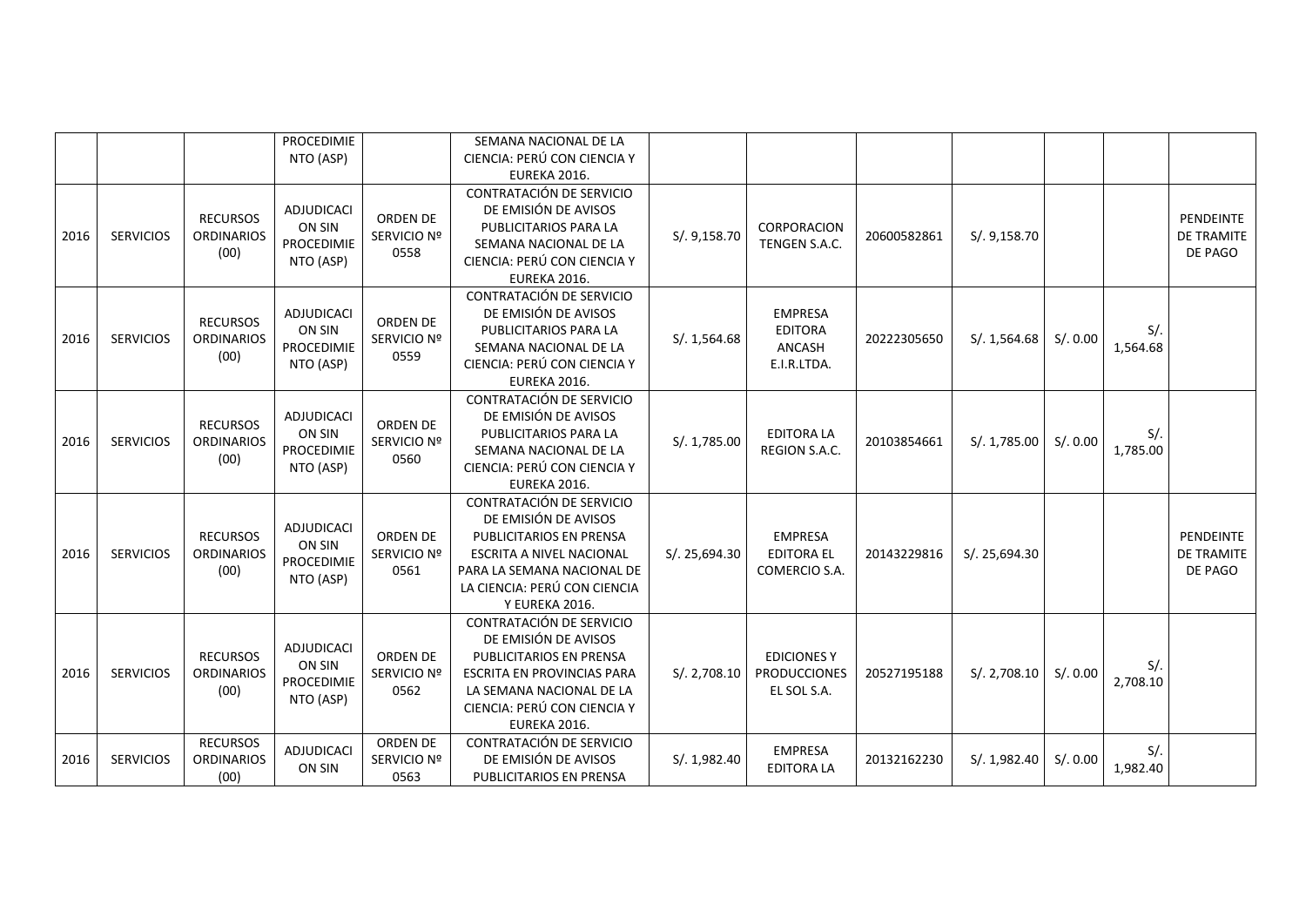|      |                  |                                              | PROCEDIMIE<br>NTO (ASP)                                       |                                 | SEMANA NACIONAL DE LA<br>CIENCIA: PERÚ CON CIENCIA Y<br>EUREKA 2016.                                                                                                                           |               |                                                           |             |               |          |                    |                                           |
|------|------------------|----------------------------------------------|---------------------------------------------------------------|---------------------------------|------------------------------------------------------------------------------------------------------------------------------------------------------------------------------------------------|---------------|-----------------------------------------------------------|-------------|---------------|----------|--------------------|-------------------------------------------|
| 2016 | <b>SERVICIOS</b> | <b>RECURSOS</b><br><b>ORDINARIOS</b><br>(00) | <b>ADJUDICACI</b><br>ON SIN<br><b>PROCEDIMIE</b><br>NTO (ASP) | ORDEN DE<br>SERVICIO Nº<br>0558 | CONTRATACIÓN DE SERVICIO<br>DE EMISIÓN DE AVISOS<br>PUBLICITARIOS PARA LA<br>SEMANA NACIONAL DE LA<br>CIENCIA: PERÚ CON CIENCIA Y<br>EUREKA 2016.                                              | S/. 9,158.70  | CORPORACION<br>TENGEN S.A.C.                              | 20600582861 | S/. 9,158.70  |          |                    | PENDEINTE<br><b>DE TRAMITE</b><br>DE PAGO |
| 2016 | <b>SERVICIOS</b> | <b>RECURSOS</b><br><b>ORDINARIOS</b><br>(00) | <b>ADJUDICACI</b><br>ON SIN<br>PROCEDIMIE<br>NTO (ASP)        | ORDEN DE<br>SERVICIO Nº<br>0559 | CONTRATACIÓN DE SERVICIO<br>DE EMISIÓN DE AVISOS<br>PUBLICITARIOS PARA LA<br>SEMANA NACIONAL DE LA<br>CIENCIA: PERÚ CON CIENCIA Y<br>EUREKA 2016.                                              | S/.1,564.68   | <b>EMPRESA</b><br><b>EDITORA</b><br>ANCASH<br>E.I.R.LTDA. | 20222305650 | S/.1,564.68   | S/.0.00  | $S/$ .<br>1,564.68 |                                           |
| 2016 | <b>SERVICIOS</b> | <b>RECURSOS</b><br><b>ORDINARIOS</b><br>(00) | ADJUDICACI<br>ON SIN<br>PROCEDIMIE<br>NTO (ASP)               | ORDEN DE<br>SERVICIO Nº<br>0560 | CONTRATACIÓN DE SERVICIO<br>DE EMISIÓN DE AVISOS<br>PUBLICITARIOS PARA LA<br>SEMANA NACIONAL DE LA<br>CIENCIA: PERÚ CON CIENCIA Y<br>EUREKA 2016.                                              | S/. 1,785.00  | <b>EDITORA LA</b><br>REGION S.A.C.                        | 20103854661 | S/.1,785.00   | S/.0.00  | $S/$ .<br>1,785.00 |                                           |
| 2016 | <b>SERVICIOS</b> | <b>RECURSOS</b><br><b>ORDINARIOS</b><br>(00) | <b>ADJUDICACI</b><br>ON SIN<br>PROCEDIMIE<br>NTO (ASP)        | ORDEN DE<br>SERVICIO Nº<br>0561 | CONTRATACIÓN DE SERVICIO<br>DE EMISIÓN DE AVISOS<br>PUBLICITARIOS EN PRENSA<br><b>ESCRITA A NIVEL NACIONAL</b><br>PARA LA SEMANA NACIONAL DE<br>LA CIENCIA: PERÚ CON CIENCIA<br>Y EUREKA 2016. | S/. 25,694.30 | <b>EMPRESA</b><br><b>EDITORA EL</b><br>COMERCIO S.A.      | 20143229816 | S/. 25,694.30 |          |                    | <b>PENDEINTE</b><br>DE TRAMITE<br>DE PAGO |
| 2016 | <b>SERVICIOS</b> | <b>RECURSOS</b><br><b>ORDINARIOS</b><br>(00) | ADJUDICACI<br>ON SIN<br><b>PROCEDIMIE</b><br>NTO (ASP)        | ORDEN DE<br>SERVICIO Nº<br>0562 | CONTRATACIÓN DE SERVICIO<br>DE EMISIÓN DE AVISOS<br>PUBLICITARIOS EN PRENSA<br><b>ESCRITA EN PROVINCIAS PARA</b><br>LA SEMANA NACIONAL DE LA<br>CIENCIA: PERÚ CON CIENCIA Y<br>EUREKA 2016.    | S/. 2,708.10  | <b>EDICIONES Y</b><br><b>PRODUCCIONES</b><br>EL SOL S.A.  | 20527195188 | S/. 2,708.10  | S/. 0.00 | $S/$ .<br>2,708.10 |                                           |
| 2016 | <b>SERVICIOS</b> | <b>RECURSOS</b><br><b>ORDINARIOS</b><br>(00) | ADJUDICACI<br>ON SIN                                          | ORDEN DE<br>SERVICIO Nº<br>0563 | CONTRATACIÓN DE SERVICIO<br>DE EMISIÓN DE AVISOS<br>PUBLICITARIOS EN PRENSA                                                                                                                    | S/. 1,982.40  | <b>EMPRESA</b><br><b>EDITORA LA</b>                       | 20132162230 | S/. 1,982.40  | S/. 0.00 | $S/$ .<br>1,982.40 |                                           |